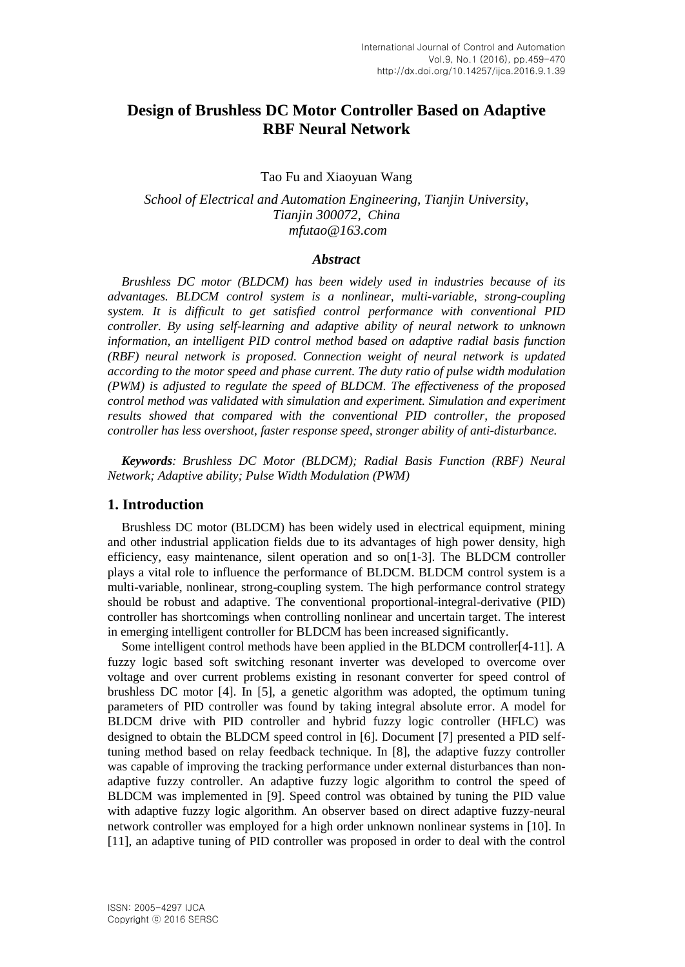# **Design of Brushless DC Motor Controller Based on Adaptive RBF Neural Network**

Tao Fu and Xiaoyuan Wang

*School of Electrical and Automation Engineering, Tianjin University, Tianjin 300072, China mfutao@163.com*

### *Abstract*

*Brushless DC motor (BLDCM) has been widely used in industries because of its advantages. BLDCM control system is a nonlinear, multi-variable, strong-coupling system. It is difficult to get satisfied control performance with conventional PID controller. By using self-learning and adaptive ability of neural network to unknown information, an intelligent PID control method based on adaptive radial basis function (RBF) neural network is proposed. Connection weight of neural network is updated according to the motor speed and phase current. The duty ratio of pulse width modulation (PWM) is adjusted to regulate the speed of BLDCM. The effectiveness of the proposed control method was validated with simulation and experiment. Simulation and experiment results showed that compared with the conventional PID controller, the proposed controller has less overshoot, faster response speed, stronger ability of anti-disturbance.*

*Keywords: Brushless DC Motor (BLDCM); Radial Basis Function (RBF) Neural Network; Adaptive ability; Pulse Width Modulation (PWM)*

### **1. Introduction**

Brushless DC motor (BLDCM) has been widely used in electrical equipment, mining and other industrial application fields due to its advantages of high power density, high efficiency, easy maintenance, silent operation and so on[1-3]. The BLDCM controller plays a vital role to influence the performance of BLDCM. BLDCM control system is a multi-variable, nonlinear, strong-coupling system. The high performance control strategy should be robust and adaptive. The conventional proportional-integral-derivative (PID) controller has shortcomings when controlling nonlinear and uncertain target. The interest in emerging intelligent controller for BLDCM has been increased significantly.

Some intelligent control methods have been applied in the BLDCM controller[4-11]. A fuzzy logic based soft switching resonant inverter was developed to overcome over voltage and over current problems existing in resonant converter for speed control of brushless DC motor [4]. In [5], a genetic algorithm was adopted, the optimum tuning parameters of PID controller was found by taking integral absolute error. A model for BLDCM drive with PID controller and hybrid fuzzy logic controller (HFLC) was designed to obtain the BLDCM speed control in [6]. Document [7] presented a PID selftuning method based on relay feedback technique. In [8], the adaptive fuzzy controller was capable of improving the tracking performance under external disturbances than nonadaptive fuzzy controller. An adaptive fuzzy logic algorithm to control the speed of BLDCM was implemented in [9]. Speed control was obtained by tuning the PID value with adaptive fuzzy logic algorithm. An observer based on direct adaptive fuzzy-neural network controller was employed for a high order unknown nonlinear systems in [10]. In [11], an adaptive tuning of PID controller was proposed in order to deal with the control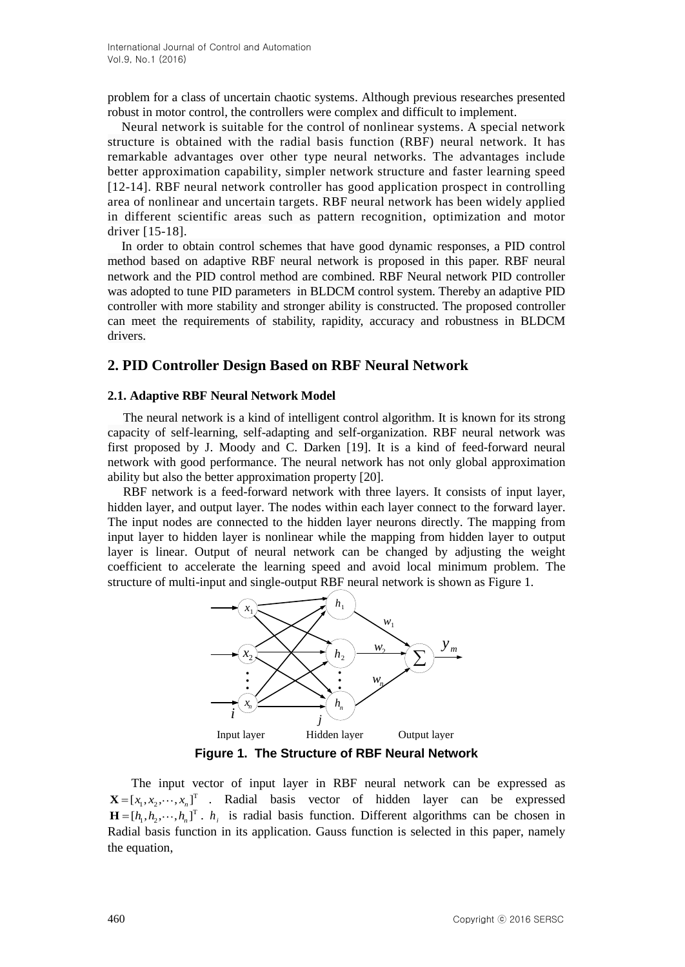problem for a class of uncertain chaotic systems. Although previous researches presented robust in motor control, the controllers were complex and difficult to implement.

Neural network is suitable for the control of nonlinear systems. A special network structure is obtained with the radial basis function (RBF) neural network. It has remarkable advantages over other type neural networks. The advantages include better approximation capability, simpler network structure and faster learning speed [12-14]. RBF neural network controller has good application prospect in controlling area of nonlinear and uncertain targets. RBF neural network has been widely applied in different scientific areas such as pattern recognition, optimization and motor driver [15-18].

In order to obtain control schemes that have good dynamic responses, a PID control method based on adaptive RBF neural network is proposed in this paper. RBF neural network and the PID control method are combined. RBF Neural network PID controller was adopted to tune PID parameters in BLDCM control system. Thereby an adaptive PID controller with more stability and stronger ability is constructed. The proposed controller can meet the requirements of stability, rapidity, accuracy and robustness in BLDCM drivers.

## **2. PID Controller Design Based on RBF Neural Network**

### **2.1. Adaptive RBF Neural Network Model**

The neural network is a kind of intelligent control algorithm. It is known for its strong capacity of self-learning, self-adapting and self-organization. RBF neural network was first proposed by J. Moody and C. Darken [19]. It is a kind of feed-forward neural network with good performance. The neural network has not only global approximation ability but also the better approximation property [20].

RBF network is a feed-forward network with three layers. It consists of input layer, hidden layer, and output layer. The nodes within each layer connect to the forward layer. The input nodes are connected to the hidden layer neurons directly. The mapping from input layer to hidden layer is nonlinear while the mapping from hidden layer to output layer is linear. Output of neural network can be changed by adjusting the weight coefficient to accelerate the learning speed and avoid local minimum problem. The structure of multi-input and single-output RBF neural network is shown as Figure 1.



**Figure 1. The Structure of RBF Neural Network** 

The input vector of input layer in RBF neural network can be expressed as  $\mathbf{X} = [x_1, x_2, \dots, x_n]^T$  . Radial basis vector of hidden layer can be expressed  $\mathbf{H} = [h_1, h_2, \dots, h_n]^T$ .  $h_i$  is radial basis function. Different algorithms can be chosen in Radial basis function in its application. Gauss function is selected in this paper, namely the equation,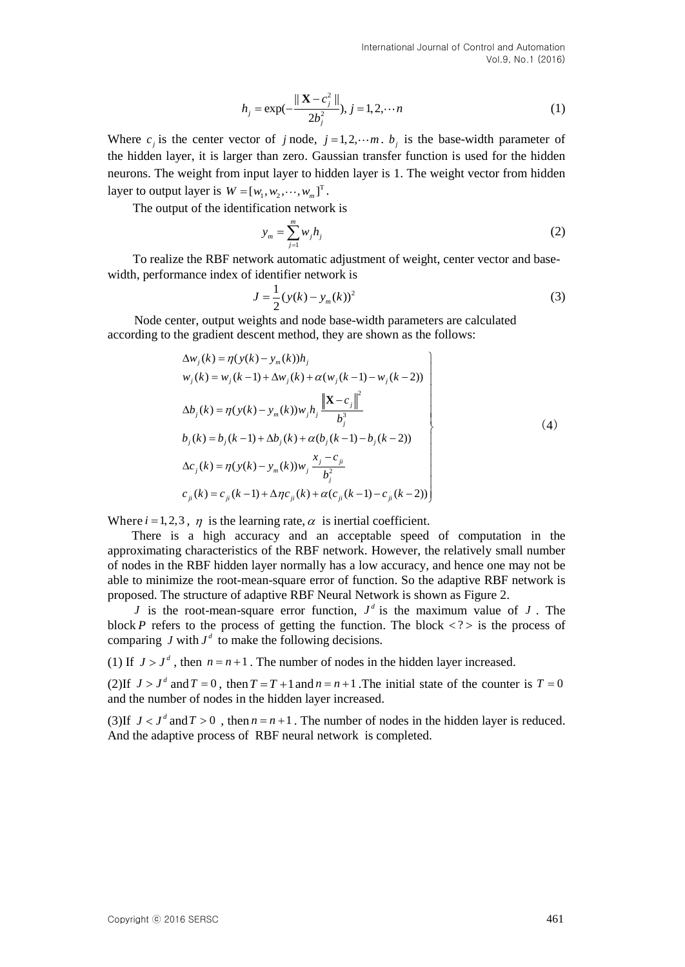$$
h_j = \exp(-\frac{\|\mathbf{X} - c_j^2\|}{2b_j^2}), j = 1, 2, \cdots n
$$
 (1)

Where  $c_j$  is the center vector of *j* node,  $j = 1, 2, \dots m$ .  $b_j$  is the base-width parameter of the hidden layer, it is larger than zero. Gaussian transfer function is used for the hidden neurons. The weight from input layer to hidden layer is 1. The weight vector from hidden layer to output layer is  $W = [w_1, w_2, \dots, w_m]^T$ .

The output of the identification network is

$$
y_m = \sum_{j=1}^m w_j h_j \tag{2}
$$

To realize the RBF network automatic adjustment of weight, center vector and basewidth, performance index of identifier network is

$$
J = \frac{1}{2} (y(k) - y_m(k))^2
$$
 (3)

Node center, output weights and node base-width parameters are calculated

according to the gradient descent method, they are shown as the follows:  
\n
$$
\Delta w_j(k) = \eta(y(k) - y_m(k))h_j
$$
\n
$$
w_j(k) = w_j(k-1) + \Delta w_j(k) + \alpha(w_j(k-1) - w_j(k-2))
$$
\n
$$
\Delta b_j(k) = \eta(y(k) - y_m(k))w_jh_j \frac{\|\mathbf{X} - c_j\|^2}{b_j^3}
$$
\n
$$
b_j(k) = b_j(k-1) + \Delta b_j(k) + \alpha(b_j(k-1) - b_j(k-2))
$$
\n
$$
\Delta c_j(k) = \eta(y(k) - y_m(k))w_j \frac{x_j - c_{ji}}{b_j^2}
$$
\n
$$
c_{ji}(k) = c_{ji}(k-1) + \Delta \eta c_{ji}(k) + \alpha(c_{ji}(k-1) - c_{ji}(k-2))
$$
\n(4)

Where  $i = 1, 2, 3$ ,  $\eta$  is the learning rate,  $\alpha$  is inertial coefficient.

There is a high accuracy and an acceptable speed of computation in the approximating characteristics of the RBF network. However, the relatively small number of nodes in the RBF hidden layer normally has a low accuracy, and hence one may not be able to minimize the root-mean-square error of function. So the adaptive RBF network is proposed. The structure of adaptive RBF Neural Network is shown as Figure 2.

*J* is the root-mean-square error function,  $J^d$  is the maximum value of *J*. The block *P* refers to the process of getting the function. The block  $\langle ? \rangle$  is the process of comparing  $J$  with  $J^d$  to make the following decisions.

(1) If  $J > J<sup>d</sup>$ , then  $n = n + 1$ . The number of nodes in the hidden layer increased.

(2) If  $J > J^d$  and  $T = 0$ , then  $T = T + 1$  and  $n = n + 1$ . The initial state of the counter is  $T = 0$ and the number of nodes in the hidden layer increased.

(3) If  $J < J<sup>d</sup>$  and  $T > 0$ , then  $n = n + 1$ . The number of nodes in the hidden layer is reduced. And the adaptive process of RBF neural network is completed.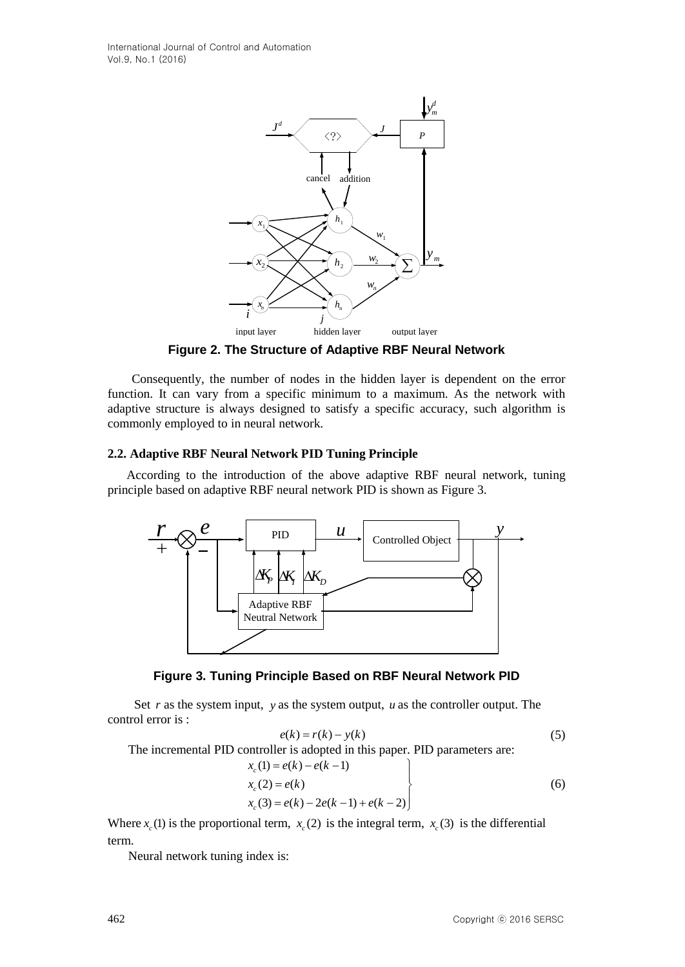

**Figure 2. The Structure of Adaptive RBF Neural Network**

Consequently, the number of nodes in the hidden layer is dependent on the error function. It can vary from a specific minimum to a maximum. As the network with adaptive structure is always designed to satisfy a specific accuracy, such algorithm is commonly employed to in neural network.

## **2.2. Adaptive RBF Neural Network PID Tuning Principle**

According to the introduction of the above adaptive RBF neural network, tuning principle based on adaptive RBF neural network PID is shown as Figure 3.





Set  $r$  as the system input,  $y$  as the system output,  $u$  as the controller output. The control error is :

$$
e(k) = r(k) - y(k)
$$
\nThe incremental PID controller is adopted in this paper. PID parameters are:\n
$$
x_c(1) = e(k) - e(k-1)
$$
\n
$$
x_c(2) = e(k)
$$
\n
$$
x_c(3) = e(k) - 2e(k-1) + e(k-2)
$$
\n(6)

Where  $x_c$  (1) is the proportional term,  $x_c$  (2) is the integral term,  $x_c$  (3) is the differential term.

Neural network tuning index is: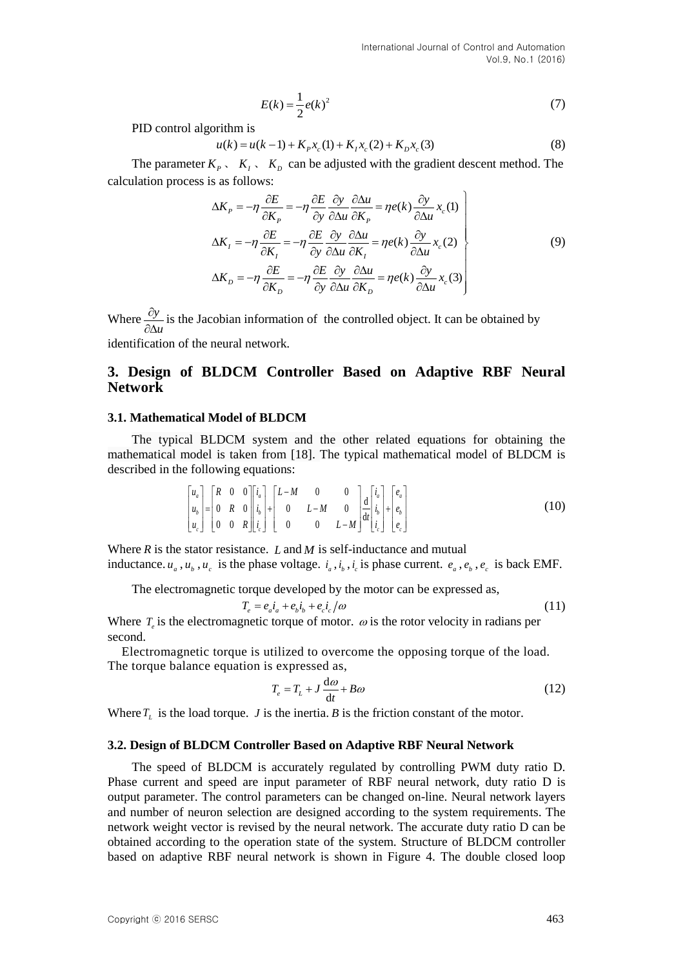$$
E(k) = \frac{1}{2}e(k)^2\tag{7}
$$

PID control algorithm is

rithm is  

$$
u(k) = u(k-1) + K_p x_c(1) + K_l x_c(2) + K_p x_c(3)
$$
(8)

The parameter  $K_p$ ,  $K_1$ ,  $K_p$  can be adjusted with the gradient descent method. The calculation process is as follows:

is as follows:  
\n
$$
\Delta K_{P} = -\eta \frac{\partial E}{\partial K_{P}} = -\eta \frac{\partial E}{\partial y} \frac{\partial y}{\partial \Delta u} \frac{\partial \Delta u}{\partial K_{P}} = \eta e(k) \frac{\partial y}{\partial \Delta u} x_{c}(1)
$$
\n
$$
\Delta K_{I} = -\eta \frac{\partial E}{\partial K_{I}} = -\eta \frac{\partial E}{\partial y} \frac{\partial y}{\partial \Delta u} \frac{\partial \Delta u}{\partial K_{I}} = \eta e(k) \frac{\partial y}{\partial \Delta u} x_{c}(2)
$$
\n
$$
\Delta K_{D} = -\eta \frac{\partial E}{\partial K_{D}} = -\eta \frac{\partial E}{\partial y} \frac{\partial y}{\partial \Delta u} \frac{\partial \Delta u}{\partial K_{D}} = \eta e(k) \frac{\partial y}{\partial \Delta u} x_{c}(3)
$$
\n(9)

Where  $\frac{\partial}{\partial x}$  $\partial \Delta$ *y u* is the Jacobian information of the controlled object. It can be obtained by identification of the neural network.

## **3. Design of BLDCM Controller Based on Adaptive RBF Neural Network**

#### **3.1. Mathematical Model of BLDCM**

The typical BLDCM system and the other related equations for obtaining the mathematical model is taken from [18]. The typical mathematical model of BLDCM is described in the following equations:<br>  $\begin{bmatrix} u_a \end{bmatrix} \begin{bmatrix} R & 0 & 0 \end{bmatrix} \begin{bmatrix} i_a \end{bmatrix} \begin{bmatrix} L-M & 0 & 0 \end{bmatrix}$ 

From owing equations:

\n
$$
\begin{bmatrix}\nu_a \\ u_b \\ u_c \end{bmatrix} = \begin{bmatrix}\nR & 0 & 0 \\
0 & R & 0 \\
0 & 0 & R\n\end{bmatrix} \begin{bmatrix}\ni_a \\ i_b \\ i_c \end{bmatrix} + \begin{bmatrix}\nL - M & 0 & 0 \\
0 & L - M & 0 \\
0 & 0 & L - M\n\end{bmatrix} \frac{d}{dt} \begin{bmatrix}\ni_a \\ i_b \\ i_c \end{bmatrix} + \begin{bmatrix}\ne_a \\ e_b \\ e_c \end{bmatrix}
$$
\n(10)

Where  $R$  is the stator resistance.  $L$  and  $M$  is self-inductance and mutual inductance.  $u_a$ ,  $u_b$ ,  $u_c$  is the phase voltage.  $i_a$ ,  $i_b$ ,  $i_c$  is phase current.  $e_a$ ,  $e_b$ ,  $e_c$  is back EMF.

The electromagnetic torque developed by the motor can be expressed as,

$$
T_e = e_a i_a + e_b i_b + e_c i_c / \omega \tag{11}
$$

Where  $T_e$  is the electromagnetic torque of motor.  $\omega$  is the rotor velocity in radians per second.

Electromagnetic torque is utilized to overcome the opposing torque of the load. The torque balance equation is expressed as,

$$
T_e = T_L + J \frac{d\omega}{dt} + B\omega \tag{12}
$$

Where  $T_L$  is the load torque. *J* is the inertia. *B* is the friction constant of the motor.

#### **3.2. Design of BLDCM Controller Based on Adaptive RBF Neural Network**

The speed of BLDCM is accurately regulated by controlling PWM duty ratio D. Phase current and speed are input parameter of RBF neural network, duty ratio D is output parameter. The control parameters can be changed on-line. Neural network layers and number of neuron selection are designed according to the system requirements. The network weight vector is revised by the neural network. The accurate duty ratio D can be obtained according to the operation state of the system. Structure of BLDCM controller based on adaptive RBF neural network is shown in Figure 4. The double closed loop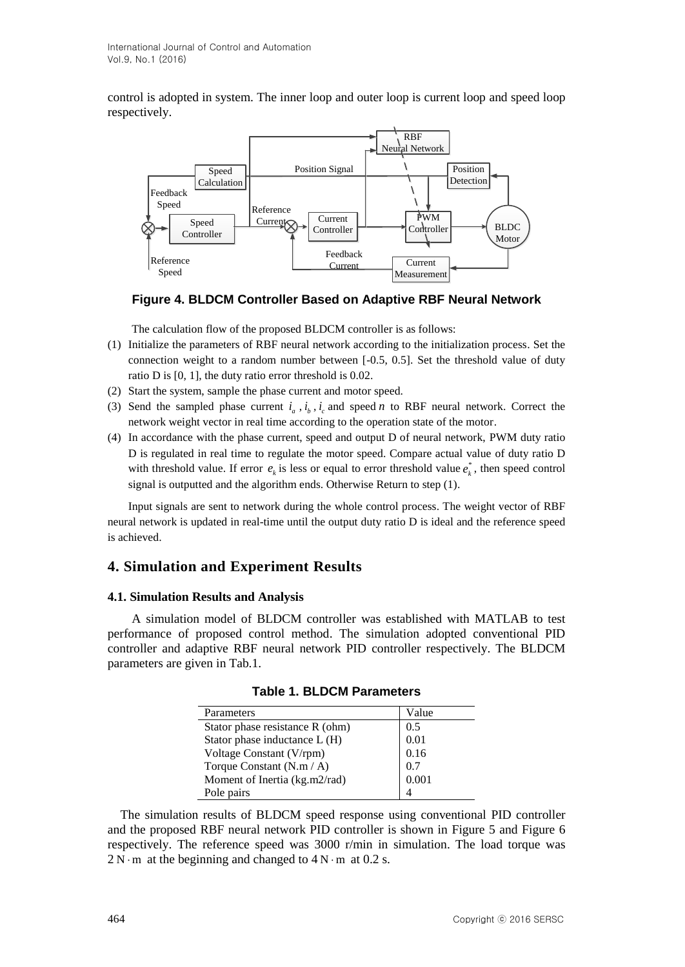control is adopted in system. The inner loop and outer loop is current loop and speed loop respectively.



**Figure 4. BLDCM Controller Based on Adaptive RBF Neural Network**

The calculation flow of the proposed BLDCM controller is as follows:

- (1) Initialize the parameters of RBF neural network according to the initialization process. Set the connection weight to a random number between [-0.5, 0.5]. Set the threshold value of duty ratio D is [0, 1], the duty ratio error threshold is 0.02.
- (2) Start the system, sample the phase current and motor speed.
- (3) Send the sampled phase current  $i_a$ ,  $i_b$ ,  $i_c$  and speed *n* to RBF neural network. Correct the network weight vector in real time according to the operation state of the motor.
- (4) In accordance with the phase current, speed and output D of neural network, PWM duty ratio D is regulated in real time to regulate the motor speed. Compare actual value of duty ratio D with threshold value. If error  $e_k$  is less or equal to error threshold value  $e_k^*$ , then speed control signal is outputted and the algorithm ends. Otherwise Return to step (1).

Input signals are sent to network during the whole control process. The weight vector of RBF neural network is updated in real-time until the output duty ratio D is ideal and the reference speed is achieved.

## **4. Simulation and Experiment Results**

## **4.1. Simulation Results and Analysis**

A simulation model of BLDCM controller was established with MATLAB to test performance of proposed control method. The simulation adopted conventional PID controller and adaptive RBF neural network PID controller respectively. The BLDCM parameters are given in Tab.1.

| Parameters                      | Value |
|---------------------------------|-------|
| Stator phase resistance R (ohm) | 0.5   |
| Stator phase inductance L (H)   | 0.01  |
| Voltage Constant (V/rpm)        | 0.16  |
| Torque Constant (N.m / A)       | 0.7   |
| Moment of Inertia (kg.m2/rad)   | 0.001 |
| Pole pairs                      |       |

**Table 1. BLDCM Parameters**

The simulation results of BLDCM speed response using conventional PID controller and the proposed RBF neural network PID controller is shown in Figure 5 and Figure 6 respectively. The reference speed was 3000 r/min in simulation. The load torque was  $2 N \cdot m$  at the beginning and changed to  $4 N \cdot m$  at 0.2 s.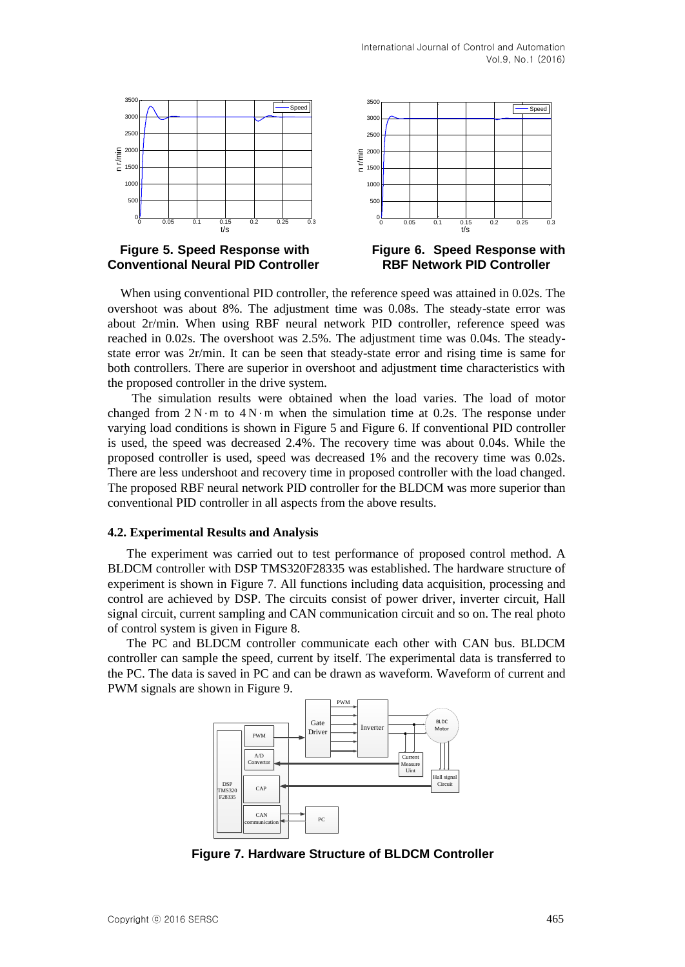Speed |





**Figure 5. Speed Response with Figure 6. Speed Response with Conventional Neural PID Controller RBF Network PID Controller**

![](_page_6_Figure_4.jpeg)

When using conventional PID controller, the reference speed was attained in 0.02s. The overshoot was about 8%. The adjustment time was 0.08s. The steady-state error was about 2r/min. When using RBF neural network PID controller, reference speed was reached in 0.02s. The overshoot was 2.5%. The adjustment time was 0.04s. The steadystate error was 2r/min. It can be seen that steady-state error and rising time is same for both controllers. There are superior in overshoot and adjustment time characteristics with the proposed controller in the drive system.

350

The simulation results were obtained when the load varies. The load of motor changed from  $2 \text{ N} \cdot \text{m}$  to  $4 \text{ N} \cdot \text{m}$  when the simulation time at 0.2s. The response under varying load conditions is shown in Figure 5 and Figure 6. If conventional PID controller is used, the speed was decreased 2.4%. The recovery time was about 0.04s. While the proposed controller is used, speed was decreased 1% and the recovery time was 0.02s. There are less undershoot and recovery time in proposed controller with the load changed. The proposed RBF neural network PID controller for the BLDCM was more superior than conventional PID controller in all aspects from the above results.

### **4.2. Experimental Results and Analysis**

The experiment was carried out to test performance of proposed control method. A BLDCM controller with DSP TMS320F28335 was established. The hardware structure of experiment is shown in Figure 7. All functions including data acquisition, processing and control are achieved by DSP. The circuits consist of power driver, inverter circuit, Hall signal circuit, current sampling and CAN communication circuit and so on. The real photo of control system is given in Figure 8.

The PC and BLDCM controller communicate each other with CAN bus. BLDCM controller can sample the speed, current by itself. The experimental data is transferred to the PC. The data is saved in PC and can be drawn as waveform. Waveform of current and PWM signals are shown in Figure 9.

![](_page_6_Figure_10.jpeg)

**Figure 7. Hardware Structure of BLDCM Controller**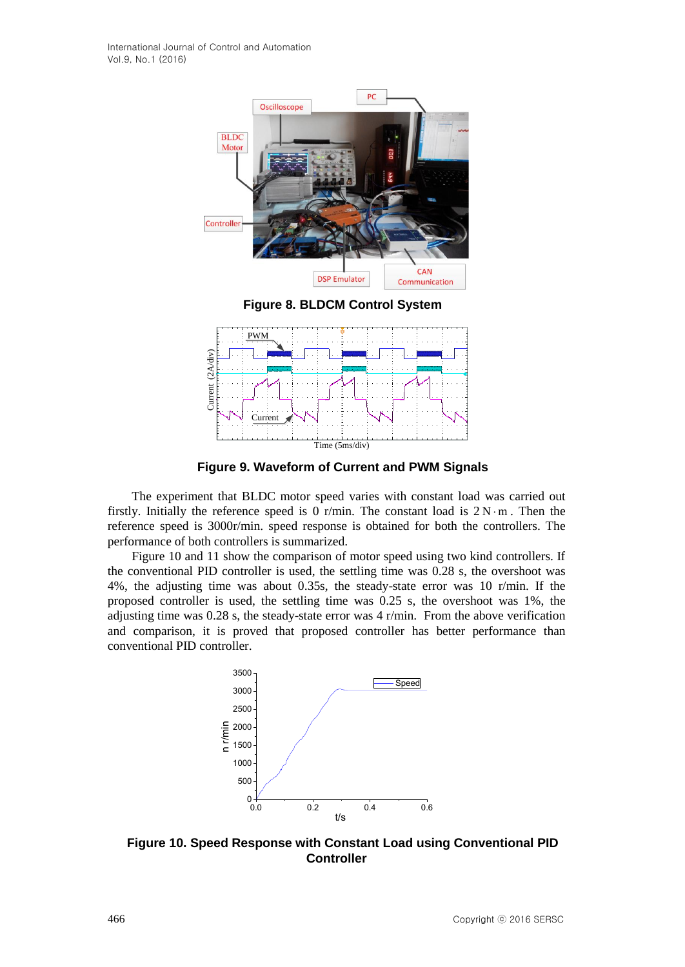![](_page_7_Figure_1.jpeg)

**Figure 8. BLDCM Control System**

![](_page_7_Figure_3.jpeg)

**Figure 9. Waveform of Current and PWM Signals**

The experiment that BLDC motor speed varies with constant load was carried out firstly. Initially the reference speed is 0 r/min. The constant load is  $2 N \cdot m$ . Then the reference speed is 3000r/min. speed response is obtained for both the controllers. The performance of both controllers is summarized.

Figure 10 and 11 show the comparison of motor speed using two kind controllers. If the conventional PID controller is used, the settling time was 0.28 s, the overshoot was 4%, the adjusting time was about 0.35s, the steady-state error was 10 r/min. If the proposed controller is used, the settling time was 0.25 s, the overshoot was 1%, the adjusting time was 0.28 s, the steady-state error was 4 r/min. From the above verification and comparison, it is proved that proposed controller has better performance than conventional PID controller.

![](_page_7_Figure_7.jpeg)

**Figure 10. Speed Response with Constant Load using Conventional PID Controller**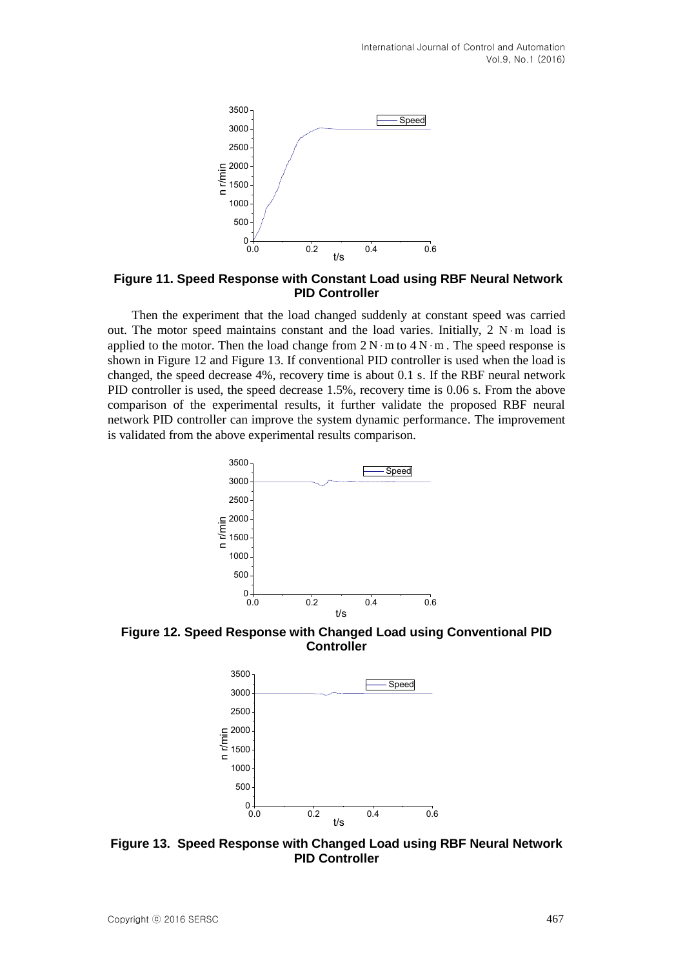![](_page_8_Figure_1.jpeg)

**Figure 11. Speed Response with Constant Load using RBF Neural Network PID Controller**

Then the experiment that the load changed suddenly at constant speed was carried out. The motor speed maintains constant and the load varies. Initially,  $2 N·m$  load is applied to the motor. Then the load change from  $2 \text{ N} \cdot \text{m}$  to  $4 \text{ N} \cdot \text{m}$ . The speed response is shown in Figure 12 and Figure 13. If conventional PID controller is used when the load is changed, the speed decrease 4%, recovery time is about 0.1 s. If the RBF neural network PID controller is used, the speed decrease 1.5%, recovery time is 0.06 s. From the above comparison of the experimental results, it further validate the proposed RBF neural network PID controller can improve the system dynamic performance. The improvement is validated from the above experimental results comparison.

![](_page_8_Figure_4.jpeg)

**Figure 12. Speed Response with Changed Load using Conventional PID Controller**

![](_page_8_Figure_6.jpeg)

**Figure 13. Speed Response with Changed Load using RBF Neural Network PID Controller**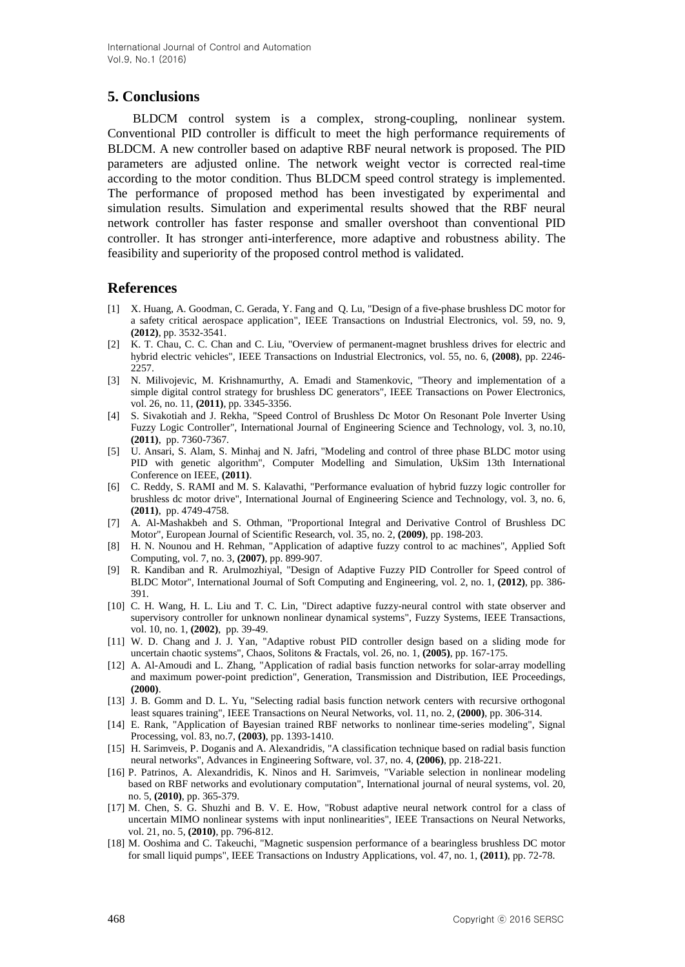## **5. Conclusions**

BLDCM control system is a complex, strong-coupling, nonlinear system. Conventional PID controller is difficult to meet the high performance requirements of BLDCM. A new controller based on adaptive RBF neural network is proposed. The PID parameters are adjusted online. The network weight vector is corrected real-time according to the motor condition. Thus BLDCM speed control strategy is implemented. The performance of proposed method has been investigated by experimental and simulation results. Simulation and experimental results showed that the RBF neural network controller has faster response and smaller overshoot than conventional PID controller. It has stronger anti-interference, more adaptive and robustness ability. The feasibility and superiority of the proposed control method is validated.

## **References**

- [1] X. Huang, A. Goodman, C. Gerada, Y. Fang and Q. Lu, "Design of a five-phase brushless DC motor for a safety critical aerospace application", IEEE Transactions on Industrial Electronics, vol. 59, no. 9, **(2012)**, pp. 3532-3541.
- [2] K. T. Chau, C. C. Chan and C. Liu, "Overview of permanent-magnet brushless drives for electric and hybrid electric vehicles", IEEE Transactions on Industrial Electronics, vol. 55, no. 6, **(2008)**, pp. 2246- 2257.
- [3] N. Milivojevic, M. Krishnamurthy, A. Emadi and Stamenkovic, "Theory and implementation of a simple digital control strategy for brushless DC generators", IEEE Transactions on Power Electronics, vol. 26, no. 11, **(2011)**, pp. 3345-3356.
- [4] S. Sivakotiah and J. Rekha, "Speed Control of Brushless Dc Motor On Resonant Pole Inverter Using Fuzzy Logic Controller", International Journal of Engineering Science and Technology, vol. 3, no.10, **(2011)**, pp. 7360-7367.
- [5] U. Ansari, S. Alam, S. Minhaj and N. Jafri, "Modeling and control of three phase BLDC motor using PID with genetic algorithm", Computer Modelling and Simulation, UkSim 13th International Conference on IEEE, **(2011)**.
- [6] C. Reddy, S. RAMI and M. S. Kalavathi, "Performance evaluation of hybrid fuzzy logic controller for brushless dc motor drive", International Journal of Engineering Science and Technology, vol. 3, no. 6, **(2011)**, pp. 4749-4758.
- [7] A. Al-Mashakbeh and S. Othman, "Proportional Integral and Derivative Control of Brushless DC Motor", European Journal of Scientific Research, vol. 35, no. 2, **(2009)**, pp. 198-203.
- [8] H. N. Nounou and H. Rehman, "Application of adaptive fuzzy control to ac machines", Applied Soft Computing, vol. 7, no. 3, **(2007)**, pp. 899-907.
- [9] R. Kandiban and R. Arulmozhiyal, "Design of Adaptive Fuzzy PID Controller for Speed control of BLDC Motor", International Journal of Soft Computing and Engineering, vol. 2, no. 1, **(2012)**, pp. 386- 391.
- [10] C. H. Wang, H. L. Liu and T. C. Lin, "Direct adaptive fuzzy-neural control with state observer and supervisory controller for unknown nonlinear dynamical systems", Fuzzy Systems, IEEE Transactions, vol. 10, no. 1, **(2002)**, pp. 39-49.
- [11] W. D. Chang and J. J. Yan, "Adaptive robust PID controller design based on a sliding mode for uncertain chaotic systems", Chaos, Solitons & Fractals, vol. 26, no. 1, **(2005)**, pp. 167-175.
- [12] A. Al-Amoudi and L. Zhang, "Application of radial basis function networks for solar-array modelling and maximum power-point prediction", Generation, Transmission and Distribution, IEE Proceedings, **(2000)**.
- [13] J. B. Gomm and D. L. Yu, "Selecting radial basis function network centers with recursive orthogonal least squares training", IEEE Transactions on Neural Networks, vol. 11, no. 2, **(2000)**, pp. 306-314.
- [14] E. Rank, "Application of Bayesian trained RBF networks to nonlinear time-series modeling", Signal Processing, vol. 83, no.7, **(2003)**, pp. 1393-1410.
- [15] H. Sarimveis, P. Doganis and A. Alexandridis, "A classification technique based on radial basis function neural networks", Advances in Engineering Software, vol. 37, no. 4, **(2006)**, pp. 218-221.
- [16] P. Patrinos, A. Alexandridis, K. Ninos and H. Sarimveis, "Variable selection in nonlinear modeling based on RBF networks and evolutionary computation", International journal of neural systems, vol. 20, no. 5, **(2010)**, pp. 365-379.
- [17] M. Chen, S. G. Shuzhi and B. V. E. How, "Robust adaptive neural network control for a class of uncertain MIMO nonlinear systems with input nonlinearities", IEEE Transactions on Neural Networks, vol. 21, no. 5, **(2010)**, pp. 796-812.
- [18] M. Ooshima and C. Takeuchi, "Magnetic suspension performance of a bearingless brushless DC motor for small liquid pumps", IEEE Transactions on Industry Applications, vol. 47, no. 1, **(2011)**, pp. 72-78.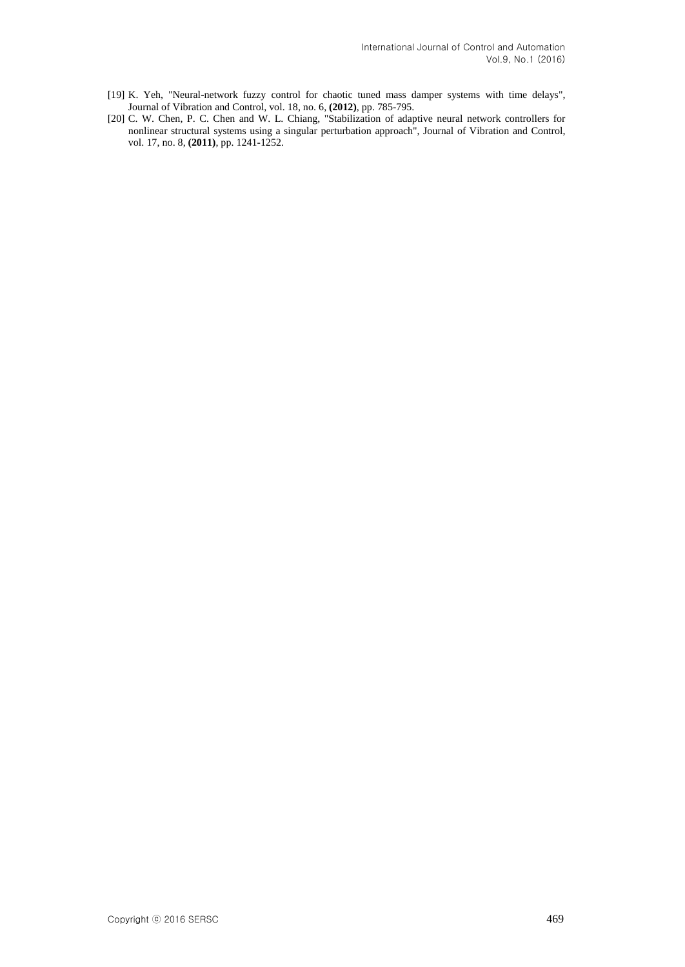- [19] K. Yeh, "Neural-network fuzzy control for chaotic tuned mass damper systems with time delays", Journal of Vibration and Control, vol. 18, no. 6, **(2012)**, pp. 785-795.
- [20] C. W. Chen, P. C. Chen and W. L. Chiang, "Stabilization of adaptive neural network controllers for nonlinear structural systems using a singular perturbation approach", Journal of Vibration and Control, vol. 17, no. 8, **(2011)**, pp. 1241-1252.